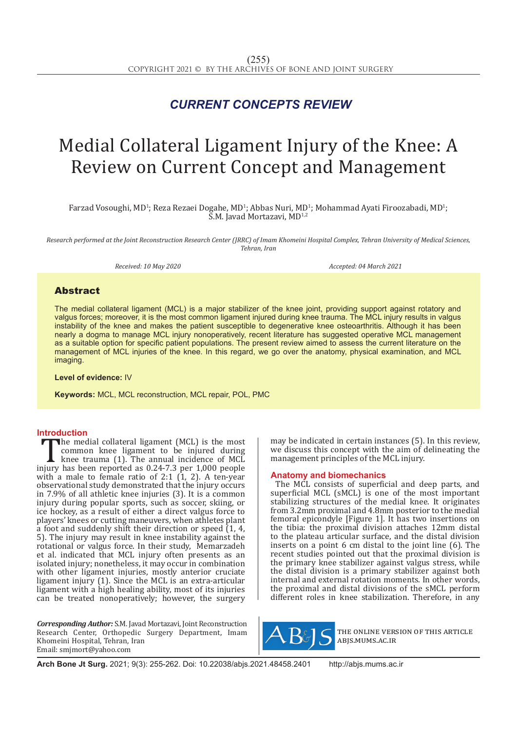## *CURRENT CONCEPTS REVIEW*

# Medial Collateral Ligament Injury of the Knee: A Review on Current Concept and Management

Farzad Vosoughi, MD<sup>1</sup>; Reza Rezaei Dogahe, MD<sup>1</sup>; Abbas Nuri, MD<sup>1</sup>; Mohammad Ayati Firoozabadi, MD<sup>1</sup>; S.M. Javad Mortazavi, MD1,2

*Research performed at the Joint Reconstruction Research Center (JRRC) of Imam Khomeini Hospital Complex, Tehran University of Medical Sciences, Tehran, Iran*

*Received: 10 May 2020 Accepted: 04 March 2021*

### Abstract

The medial collateral ligament (MCL) is a major stabilizer of the knee joint, providing support against rotatory and valgus forces; moreover, it is the most common ligament injured during knee trauma. The MCL injury results in valgus instability of the knee and makes the patient susceptible to degenerative knee osteoarthritis. Although it has been nearly a dogma to manage MCL injury nonoperatively, recent literature has suggested operative MCL management as a suitable option for specific patient populations. The present review aimed to assess the current literature on the management of MCL injuries of the knee. In this regard, we go over the anatomy, physical examination, and MCL imaging.

**Level of evidence:** IV

**Keywords:** MCL, MCL reconstruction, MCL repair, POL, PMC

**Introduction**<br>**I** The medial collateral ligament (MCL) is the most The medial collateral ligament (MCL) is the most<br>
common knee ligament to be injured during<br>
knee trauma (1). The annual incidence of MCL<br>
injury has been reported as 0.24-7.3 per 1,000 people<br>
with a male to female ratio common knee ligament to be injured during knee trauma (1). The annual incidence of MCL with a male to female ratio of 2:1 (1, 2). A ten-year observational study demonstrated that the injury occurs in 7.9% of all athletic knee injuries (3). It is a common injury during popular sports, such as soccer, skiing, or ice hockey, as a result of either a direct valgus force to players' knees or cutting maneuvers, when athletes plant a foot and suddenly shift their direction or speed  $(1, 4, 4)$ 5). The injury may result in knee instability against the rotational or valgus force. In their study, Memarzadeh et al. indicated that MCL injury often presents as an isolated injury; nonetheless, it may occur in combination with other ligament injuries, mostly anterior cruciate ligament injury (1). Since the MCL is an extra-articular ligament with a high healing ability, most of its injuries can be treated nonoperatively; however, the surgery

*Corresponding Author:* S.M. Javad Mortazavi, Joint Reconstruction Research Center, Orthopedic Surgery Department, Imam Khomeini Hospital, Tehran, Iran Email: smjmort@yahoo.com

may be indicated in certain instances (5). In this review, we discuss this concept with the aim of delineating the management principles of the MCL injury.

#### **Anatomy and biomechanics**

The MCL consists of superficial and deep parts, and superficial MCL (sMCL) is one of the most important stabilizing structures of the medial knee. It originates from 3.2mm proximal and 4.8mm posterior to the medial femoral epicondyle [Figure 1]. It has two insertions on the tibia: the proximal division attaches 12mm distal to the plateau articular surface, and the distal division inserts on a point 6 cm distal to the joint line (6). The recent studies pointed out that the proximal division is the primary knee stabilizer against valgus stress, while the distal division is a primary stabilizer against both internal and external rotation moments. In other words, the proximal and distal divisions of the sMCL perform different roles in knee stabilization. Therefore, in any



the online version of this article abjs.mums.ac.ir

**Arch Bone Jt Surg.** 2021; 9(3): 255-262. Doi: 10.22038/abjs.2021.48458.2401 http://abjs.mums.ac.ir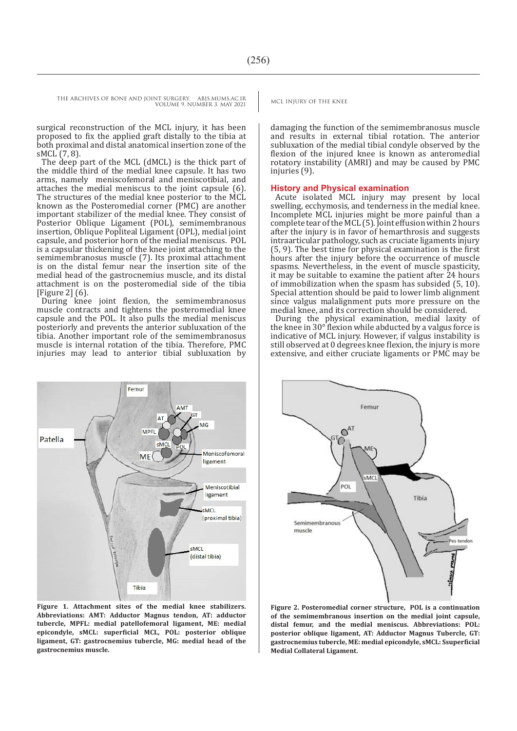THE ARCHIVES OF BONE AND JOINT SURGERY. ABJS.MUMS.AC.IR MCL INJURY OF THE KNEE

VOLUME 9. NUMBER 3. MAY 2021

surgical reconstruction of the MCL injury, it has been proposed to fix the applied graft distally to the tibia at both proximal and distal anatomical insertion zone of the sMCL (7, 8).

The deep part of the MCL (dMCL) is the thick part of the middle third of the medial knee capsule. It has two arms, namely meniscofemoral and meniscotibial, and attaches the medial meniscus to the joint capsule (6). The structures of the medial knee posterior to the MCL known as the Posteromedial corner (PMC) are another important stabilizer of the medial knee. They consist of Posterior Oblique Ligament (POL), semimembranous insertion, Oblique Popliteal Ligament (OPL), medial joint capsule, and posterior horn of the medial meniscus. POL is a capsular thickening of the knee joint attaching to the semimembranosus muscle (7). Its proximal attachment is on the distal femur near the insertion site of the medial head of the gastrocnemius muscle, and its distal attachment is on the posteromedial side of the tibia [Figure 2] (6).

During knee joint flexion, the semimembranosus muscle contracts and tightens the posteromedial knee capsule and the POL. It also pulls the medial meniscus posteriorly and prevents the anterior subluxation of the tibia. Another important role of the semimembranosus muscle is internal rotation of the tibia. Therefore, PMC injuries may lead to anterior tibial subluxation by



**Figure 1. Attachment sites of the medial knee stabilizers. Abbreviations: AMT: Adductor Magnus tendon, AT: adductor tubercle, MPFL: medial patellofemoral ligament, ME: medial epicondyle, sMCL: superficial MCL, POL: posterior oblique ligament, GT: gastrocnemius tubercle, MG: medial head of the gastrocnemius muscle.**

damaging the function of the semimembranosus muscle and results in external tibial rotation. The anterior subluxation of the medial tibial condyle observed by the flexion of the injured knee is known as anteromedial rotatory instability (AMRI) and may be caused by PMC injuries (9).

#### **History and Physical examination**

Acute isolated MCL injury may present by local swelling, ecchymosis, and tenderness in the medial knee. Incomplete MCL injuries might be more painful than a complete tear of the MCL (5). Joint effusion within 2 hours after the injury is in favor of hemarthrosis and suggests intraarticular pathology, such as cruciate ligaments injury (5, 9). The best time for physical examination is the first hours after the injury before the occurrence of muscle spasms. Nevertheless, in the event of muscle spasticity, it may be suitable to examine the patient after 24 hours of immobilization when the spasm has subsided (5, 10). Special attention should be paid to lower limb alignment since valgus malalignment puts more pressure on the medial knee, and its correction should be considered.

During the physical examination, medial laxity of the knee in 30°flexion while abducted by a valgus force is indicative of MCL injury. However, if valgus instability is still observed at 0 degrees knee flexion, the injury is more extensive, and either cruciate ligaments or PMC may be



**Figure 2. Posteromedial corner structure, POL is a continuation of the semimembranous insertion on the medial joint capsule, distal femur, and the medial meniscus. Abbreviations: POL: posterior oblique ligament, AT: Adductor Magnus Tubercle, GT: gastrocnemius tubercle, ME: medial epicondyle, sMCL: Ssuperficial Medial Collateral Ligament.**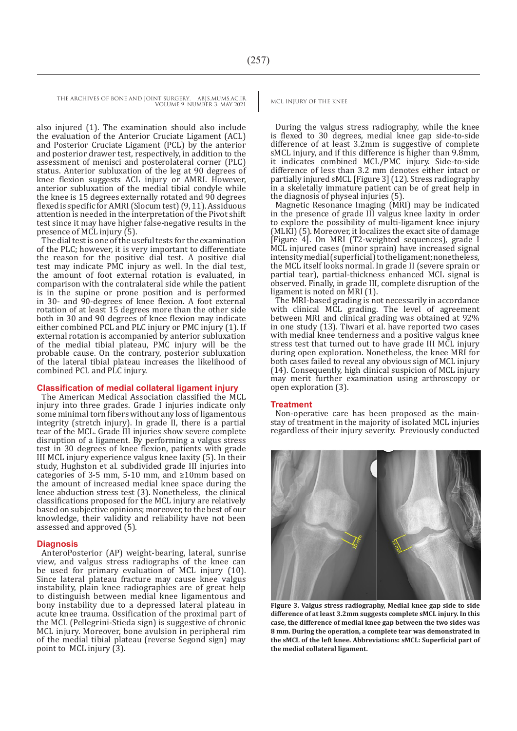> also injured (1). The examination should also include the evaluation of the Anterior Cruciate Ligament (ACL) and Posterior Cruciate Ligament (PCL) by the anterior and posterior drawer test, respectively, in addition to the assessment of menisci and posterolateral corner (PLC) status. Anterior subluxation of the leg at 90 degrees of knee flexion suggests ACL injury or AMRI. However, anterior subluxation of the medial tibial condyle while the knee is 15 degrees externally rotated and 90 degrees flexed is specific for AMRI (Slocum test) (9, 11). Assiduous attention is needed in the interpretation of the Pivot shift test since it may have higher false-negative results in the presence of MCL injury (5).

> The dial test is one of the useful tests for the examination of the PLC; however, it is very important to differentiate the reason for the positive dial test. A positive dial test may indicate PMC injury as well. In the dial test, the amount of foot external rotation is evaluated, in comparison with the contralateral side while the patient is in the supine or prone position and is performed in 30- and 90-degrees of knee flexion. A foot external rotation of at least 15 degrees more than the other side both in 30 and 90 degrees of knee flexion may indicate either combined PCL and PLC injury or PMC injury (1). If external rotation is accompanied by anterior subluxation of the medial tibial plateau, PMC injury will be the probable cause. On the contrary, posterior subluxation of the lateral tibial plateau increases the likelihood of combined PCL and PLC injury.

#### **Classification of medial collateral ligament injury**

The American Medical Association classified the MCL injury into three grades. Grade I injuries indicate only some minimal torn fibers without any loss of ligamentous integrity (stretch injury). In grade II, there is a partial tear of the MCL. Grade III injuries show severe complete disruption of a ligament. By performing a valgus stress test in 30 degrees of knee flexion, patients with grade III MCL injury experience valgus knee laxity (5). In their study, Hughston et al. subdivided grade III injuries into categories of 3-5 mm, 5-10 mm, and ≥10mm based on the amount of increased medial knee space during the knee abduction stress test (3). Nonetheless, the clinical classifications proposed for the MCL injury are relatively based on subjective opinions; moreover, to the best of our knowledge, their validity and reliability have not been assessed and approved (5).

#### **Diagnosis**

AnteroPosterior (AP) weight-bearing, lateral, sunrise view, and valgus stress radiographs of the knee can be used for primary evaluation of MCL injury (10). Since lateral plateau fracture may cause knee valgus instability, plain knee radiographies are of great help to distinguish between medial knee ligamentous and bony instability due to a depressed lateral plateau in acute knee trauma. Ossification of the proximal part of the MCL (Pellegrini-Stieda sign) is suggestive of chronic MCL injury. Moreover, bone avulsion in peripheral rim of the medial tibial plateau (reverse Segond sign) may point to MCL injury  $(3)$ .

During the valgus stress radiography, while the knee is flexed to 30 degrees, medial knee gap side-to-side difference of at least 3.2mm is suggestive of complete sMCL injury, and if this difference is higher than 9.8mm, it indicates combined MCL/PMC injury. Side-to-side difference of less than 3.2 mm denotes either intact or partially injured sMCL [Figure 3] (12). Stress radiography in a skeletally immature patient can be of great help in the diagnosis of physeal injuries (5).

Magnetic Resonance Imaging (MRI) may be indicated in the presence of grade III valgus knee laxity in order to explore the possibility of multi-ligament knee injury (MLKI) (5). Moreover, it localizes the exact site of damage [Figure 4]. On MRI (T2-weighted sequences), grade I MCL injured cases (minor sprain) have increased signal intensity medial (superficial) to the ligament; nonetheless, the MCL itself looks normal. In grade II (severe sprain or partial tear), partial-thickness enhanced MCL signal is observed. Finally, in grade III, complete disruption of the ligament is noted on MRI (1).

The MRI-based grading is not necessarily in accordance with clinical MCL grading. The level of agreement between MRI and clinical grading was obtained at 92% in one study (13). Tiwari et al. have reported two cases with medial knee tenderness and a positive valgus knee stress test that turned out to have grade III MCL injury during open exploration. Nonetheless, the knee MRI for both cases failed to reveal any obvious sign of MCL injury (14). Consequently, high clinical suspicion of MCL injury may merit further examination using arthroscopy or open exploration (3).

#### **Treatment**

Non-operative care has been proposed as the mainstay of treatment in the majority of isolated MCL injuries regardless of their injury severity. Previously conducted



**Figure 3. Valgus stress radiography, Medial knee gap side to side difference of at least 3.2mm suggests complete sMCL injury. In this case, the difference of medial knee gap between the two sides was 8 mm. During the operation, a complete tear was demonstrated in the sMCL of the left knee. Abbreviations: sMCL: Superficial part of the medial collateral ligament.**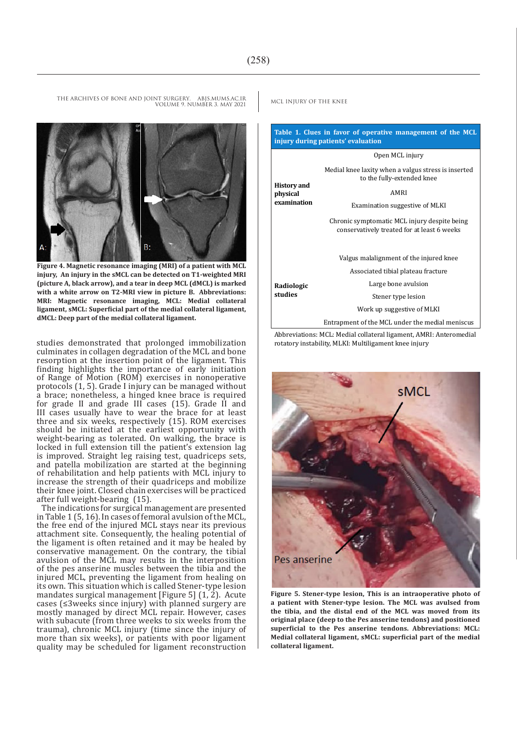VOLUME 9. NUMBER 3. MAY 2021

R۰

**Figure 4. Magnetic resonance imaging (MRI) of a patient with MCL injury, An injury in the sMCL can be detected on T1-weighted MRI (picture A, black arrow), and a tear in deep MCL (dMCL) is marked with a white arrow on T2-MRI view in picture B. Abbreviations: MRI: Magnetic resonance imaging, MCL: Medial collateral ligament, sMCL: Superficial part of the medial collateral ligament, dMCL: Deep part of the medial collateral ligament.**

studies demonstrated that prolonged immobilization culminates in collagen degradation of the MCL and bone resorption at the insertion point of the ligament. This finding highlights the importance of early initiation of Range of Motion (ROM) exercises in nonoperative protocols (1, 5). Grade I injury can be managed without a brace; nonetheless, a hinged knee brace is required for grade II and grade III cases (15). Grade II and III cases usually have to wear the brace for at least three and six weeks, respectively (15). ROM exercises should be initiated at the earliest opportunity with weight-bearing as tolerated. On walking, the brace is locked in full extension till the patient's extension lag is improved. Straight leg raising test, quadriceps sets, and patella mobilization are started at the beginning of rehabilitation and help patients with MCL injury to increase the strength of their quadriceps and mobilize their knee joint. Closed chain exercises will be practiced after full weight-bearing (15).

The indications for surgical management are presented in Table 1 (5, 16). In cases of femoral avulsion of the MCL, the free end of the injured MCL stays near its previous attachment site. Consequently, the healing potential of the ligament is often retained and it may be healed by conservative management. On the contrary, the tibial avulsion of the MCL may results in the interposition of the pes anserine muscles between the tibia and the injured MCL, preventing the ligament from healing on its own. This situation which is called Stener-type lesion mandates surgical management [Figure 5]  $(1, 2)$ . Acute cases (≤3weeks since injury) with planned surgery are mostly managed by direct MCL repair. However, cases with subacute (from three weeks to six weeks from the trauma), chronic MCL injury (time since the injury of more than six weeks), or patients with poor ligament quality may be scheduled for ligament reconstruction

**Table 1. Clues in favor of operative management of the MCL injury during patients' evaluation History and physical examination** Open MCL injury Medial knee laxity when a valgus stress is inserted to the fully-extended knee AMRI Examination suggestive of MLKI Chronic symptomatic MCL injury despite being conservatively treated for at least 6 weeks **Radiologic studies** Valgus malalignment of the injured knee Associated tibial plateau fracture Large bone avulsion Stener type lesion Work up suggestive of MLKI Entrapment of the MCL under the medial meniscus

Abbreviations: MCL: Medial collateral ligament, AMRI: Anteromedial rotatory instability, MLKI: Multiligament knee injury



**Figure 5. Stener-type lesion, This is an intraoperative photo of a patient with Stener-type lesion. The MCL was avulsed from the tibia, and the distal end of the MCL was moved from its original place (deep to the Pes anserine tendons) and positioned superficial to the Pes anserine tendons. Abbreviations: MCL: Medial collateral ligament, sMCL: superficial part of the medial collateral ligament.**

THE ARCHIVES OF BONE AND JOINT SURGERY. ABJS.MUMS.AC.IR MCL INJURY OF THE KNEE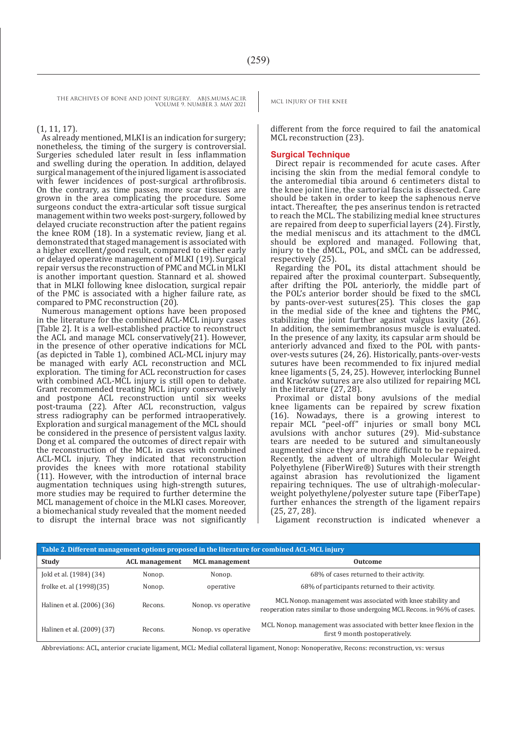#### (1, 11, 17).

As already mentioned, MLKI is an indication for surgery; nonetheless, the timing of the surgery is controversial. Surgeries scheduled later result in less inflammation and swelling during the operation. In addition, delayed surgical management of the injured ligament is associated with fewer incidences of post-surgical arthrofibrosis. On the contrary, as time passes, more scar tissues are grown in the area complicating the procedure. Some surgeons conduct the extra-articular soft tissue surgical management within two weeks post-surgery, followed by delayed cruciate reconstruction after the patient regains the knee ROM (18). In a systematic review, Jiang et al. demonstrated that staged management is associated with a higher excellent/good result, compared to either early or delayed operative management of MLKI (19). Surgical repair versus the reconstruction of PMC and MCL in MLKI is another important question. Stannard et al. showed that in MLKI following knee dislocation, surgical repair of the PMC is associated with a higher failure rate, as compared to PMC reconstruction  $(20)$ .

Numerous management options have been proposed in the literature for the combined ACL-MCL injury cases [Table 2]. It is a well-established practice to reconstruct the ACL and manage MCL conservatively(21). However, in the presence of other operative indications for MCL (as depicted in Table 1), combined ACL-MCL injury may be managed with early ACL reconstruction and MCL exploration. The timing for ACL reconstruction for cases with combined ACL-MCL injury is still open to debate. Grant recommended treating MCL injury conservatively and postpone ACL reconstruction until six weeks post-trauma (22). After ACL reconstruction, valgus stress radiography can be performed intraoperatively. Exploration and surgical management of the MCL should be considered in the presence of persistent valgus laxity. Dong et al. compared the outcomes of direct repair with the reconstruction of the MCL in cases with combined ACL-MCL injury. They indicated that reconstruction provides the knees with more rotational stability (11). However, with the introduction of internal brace augmentation techniques using high-strength sutures, more studies may be required to further determine the MCL management of choice in the MLKI cases. Moreover, a biomechanical study revealed that the moment needed to disrupt the internal brace was not significantly

different from the force required to fail the anatomical MCL reconstruction (23).

#### **Surgical Technique**

Direct repair is recommended for acute cases. After incising the skin from the medial femoral condyle to the anteromedial tibia around 6 centimeters distal to the knee joint line, the sartorial fascia is dissected. Care should be taken in order to keep the saphenous nerve intact. Thereafter, the pes anserinus tendon is retracted to reach the MCL. The stabilizing medial knee structures are repaired from deep to superficial layers (24). Firstly, the medial meniscus and its attachment to the dMCL should be explored and managed. Following that, injury to the dMCL, POL, and sMCL can be addressed, respectively (25).

Regarding the POL, its distal attachment should be repaired after the proximal counterpart. Subsequently, after drifting the POL anteriorly, the middle part of the POL's anterior border should be fixed to the sMCL by pants-over-vest sutures(25). This closes the gap in the medial side of the knee and tightens the PMC, stabilizing the joint further against valgus laxity (26). In addition, the semimembranosus muscle is evaluated. In the presence of any laxity, its capsular arm should be anteriorly advanced and fixed to the POL with pantsover-vests sutures (24, 26). Historically, pants-over-vests sutures have been recommended to fix injured medial knee ligaments (5, 24, 25). However, interlocking Bunnel and Kracków sutures are also utilized for repairing MCL in the literature (27, 28).

Proximal or distal bony avulsions of the medial knee ligaments can be repaired by screw fixation (16). Nowadays, there is a growing interest to repair MCL "peel-off" injuries or small bony MCL avulsions with anchor sutures (29). Mid-substance tears are needed to be sutured and simultaneously augmented since they are more difficult to be repaired. Recently, the advent of ultrahigh Molecular Weight Polyethylene (FiberWire®) Sutures with their strength against abrasion has revolutionized the ligament repairing techniques. The use of ultrahigh-molecular-<br>weight polyethylene/polyester suture tape (FiberTape) weight polyethylene/polyester suture tape (FiberTape) further enhances the strength of the ligament repairs (25, 27, 28).

Ligament reconstruction is indicated whenever a

| Table 2. Different management options proposed in the literature for combined ACL-MCL injury |                       |                       |                                                                                                                                            |
|----------------------------------------------------------------------------------------------|-----------------------|-----------------------|--------------------------------------------------------------------------------------------------------------------------------------------|
| Study                                                                                        | <b>ACL</b> management | <b>MCL</b> management | Outcome                                                                                                                                    |
| Jokl et al. (1984) (34)                                                                      | Nonop.                | Nonop.                | 68% of cases returned to their activity.                                                                                                   |
| frolke et. al (1998)(35)                                                                     | Nonop.                | operative             | 68% of participants returned to their activity.                                                                                            |
| Halinen et al. (2006) (36)                                                                   | Recons.               | Nonop. ys operative   | MCL Nonop. management was associated with knee stability and<br>reoperation rates similar to those undergoing MCL Recons. in 96% of cases. |
| Halinen et al. (2009) (37)                                                                   | Recons.               | Nonop. vs operative   | MCL Nonop. management was associated with better knee flexion in the<br>first 9 month postoperatively.                                     |

Abbreviations: ACL, anterior cruciate ligament, MCL: Medial collateral ligament, Nonop: Nonoperative, Recons: reconstruction, vs: versus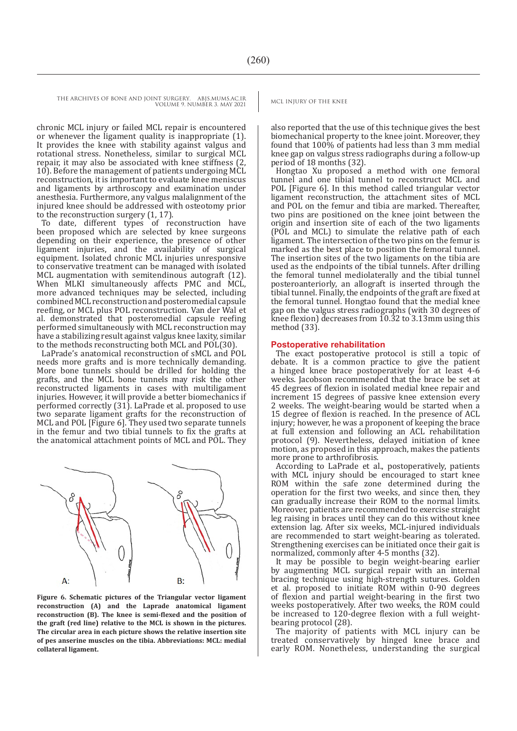chronic MCL injury or failed MCL repair is encountered or whenever the ligament quality is inappropriate (1). It provides the knee with stability against valgus and rotational stress. Nonetheless, similar to surgical MCL repair, it may also be associated with knee stiffness (2, 10). Before the management of patients undergoing MCL reconstruction, it is important to evaluate knee meniscus and ligaments by arthroscopy and examination under anesthesia. Furthermore, any valgus malalignment of the injured knee should be addressed with osteotomy prior to the reconstruction surgery (1, 17).

To date, different types of reconstruction have been proposed which are selected by knee surgeons depending on their experience, the presence of other ligament injuries, and the availability of surgical equipment. Isolated chronic MCL injuries unresponsive to conservative treatment can be managed with isolated MCL augmentation with semitendinous autograft (12). When MLKI simultaneously affects PMC and MCL, more advanced techniques may be selected, including combined MCL reconstruction and posteromedial capsule reefing, or MCL plus POL reconstruction. Van der Wal et al. demonstrated that posteromedial capsule reefing performed simultaneously with MCL reconstruction may have a stabilizing result against valgus knee laxity, similar to the methods reconstructing both MCL and POL(30).

LaPrade's anatomical reconstruction of sMCL and POL needs more grafts and is more technically demanding. More bone tunnels should be drilled for holding the grafts, and the MCL bone tunnels may risk the other reconstructed ligaments in cases with multiligament injuries. However, it will provide a better biomechanics if performed correctly (31). LaPrade et al. proposed to use two separate ligament grafts for the reconstruction of MCL and POL [Figure 6]. They used two separate tunnels in the femur and two tibial tunnels to fix the grafts at the anatomical attachment points of MCL and POL. They



**Figure 6. Schematic pictures of the Triangular vector ligament reconstruction (A) and the Laprade anatomical ligament reconstruction (B). The knee is semi-flexed and the position of the graft (red line) relative to the MCL is shown in the pictures. The circular area in each picture shows the relative insertion site of pes anserine muscles on the tibia. Abbreviations: MCL: medial collateral ligament.**

also reported that the use of this technique gives the best biomechanical property to the knee joint. Moreover, they found that 100% of patients had less than 3 mm medial knee gap on valgus stress radiographs during a follow-up period of 18 months (32).

Hongtao Xu proposed a method with one femoral tunnel and one tibial tunnel to reconstruct MCL and POL [Figure 6]. In this method called triangular vector ligament reconstruction, the attachment sites of MCL and POL on the femur and tibia are marked. Thereafter, two pins are positioned on the knee joint between the origin and insertion site of each of the two ligaments (POL and MCL) to simulate the relative path of each ligament. The intersection of the two pins on the femur is marked as the best place to position the femoral tunnel. The insertion sites of the two ligaments on the tibia are used as the endpoints of the tibial tunnels. After drilling the femoral tunnel mediolaterally and the tibial tunnel posteroanteriorly, an allograft is inserted through the tibial tunnel. Finally, the endpoints of the graft are fixed at the femoral tunnel. Hongtao found that the medial knee gap on the valgus stress radiographs (with 30 degrees of knee flexion) decreases from  $10.32$  to 3.13mm using this method (33).

#### **Postoperative rehabilitation**

The exact postoperative protocol is still a topic of debate. It is a common practice to give the patient a hinged knee brace postoperatively for at least 4-6 weeks. Jacobson recommended that the brace be set at 45 degrees of flexion in isolated medial knee repair and increment 15 degrees of passive knee extension every 2 weeks. The weight-bearing would be started when a 15 degree of flexion is reached. In the presence of ACL injury; however, he was a proponent of keeping the brace at full extension and following an ACL rehabilitation protocol (9). Nevertheless, delayed initiation of knee motion, as proposed in this approach, makes the patients more prone to arthrofibrosis.

According to LaPrade et al., postoperatively, patients with MCL injury should be encouraged to start knee ROM within the safe zone determined during the operation for the first two weeks, and since then, they can gradually increase their ROM to the normal limits. Moreover, patients are recommended to exercise straight leg raising in braces until they can do this without knee extension lag. After six weeks, MCL-injured individuals are recommended to start weight-bearing as tolerated. Strengthening exercises can be initiated once their gait is normalized, commonly after 4-5 months (32).

It may be possible to begin weight-bearing earlier by augmenting MCL surgical repair with an internal bracing technique using high-strength sutures. Golden et al. proposed to initiate ROM within 0-90 degrees of flexion and partial weight-bearing in the first two weeks postoperatively. After two weeks, the ROM could be increased to 120-degree flexion with a full weightbearing protocol (28).

The majority of patients with MCL injury can be treated conservatively by hinged knee brace and early ROM. Nonetheless, understanding the surgical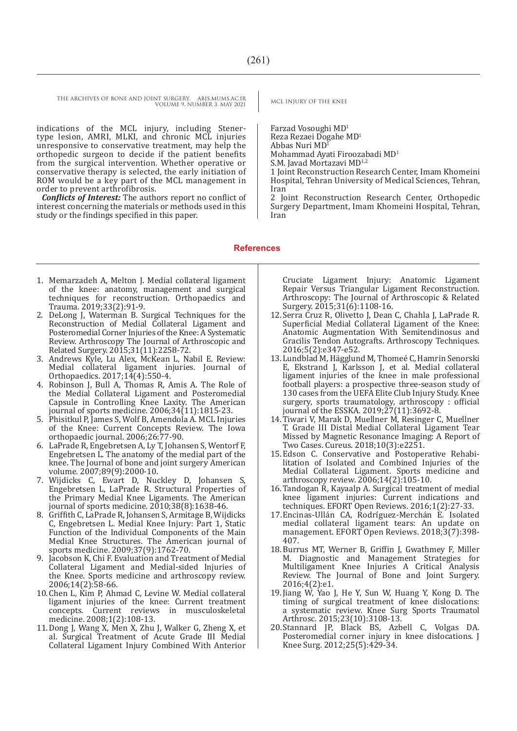indications of the MCL injury, including Stenertype lesion, AMRI, MLKI, and chronic MCL injuries unresponsive to conservative treatment, may help the orthopedic surgeon to decide if the patient benefits from the surgical intervention. Whether operative or conservative therapy is selected, the early initiation of ROM would be a key part of the MCL management in order to prevent arthrofibrosis.

*Conflicts of Interest:* The authors report no conflict of interest concerning the materials or methods used in this study or the findings specified in this paper.

Farzad Vosoughi MD1 Reza Rezaei Dogahe MD<sup>1</sup> Abbas Nuri MD<sup>1</sup> Mohammad Ayati Firoozabadi MD1 S.M. Javad Mortazavi MD<sup>1,2</sup>

1 Joint Reconstruction Research Center, Imam Khomeini Hospital, Tehran University of Medical Sciences, Tehran, Iran

2 Joint Reconstruction Research Center, Orthopedic Surgery Department, Imam Khomeini Hospital, Tehran, Iran

#### **References**

- 1. Memarzadeh A, Melton J. Medial collateral ligament of the knee: anatomy, management and surgical techniques for reconstruction. Orthopaedics and Trauma. 2019;33(2):91-9.
- 2. DeLong J, Waterman B. Surgical Techniques for the Reconstruction of Medial Collateral Ligament and Posteromedial Corner Injuries of the Knee: A Systematic Review. Arthroscopy The Journal of Arthroscopic and Related Surgery. 2015;31(11):2258-72.
- 3. Andrews Kyle, Lu Alex, McKean L, Nabil E. Review: Medial collateral ligament injuries. Journal of Orthopaedics. 2017;14(4):550-4.
- 4. Robinson J, Bull A, Thomas R, Amis A. The Role of the Medial Collateral Ligament and Posteromedial Capsule in Controlling Knee Laxity. The American journal of sports medicine. 2006;34(11):1815-23.
- 5. Phisitkul P, James S, Wolf B, Amendola A. MCL Injuries of the Knee: Current Concepts Review. The Iowa orthopaedic journal. 2006;26:77-90.
- 6. LaPrade R, Engebretsen A, Ly T, Johansen S, Wentorf F, Engebretsen L. The anatomy of the medial part of the knee. The Journal of bone and joint surgery American volume. 2007;89(9):2000-10.
- 7. Wijdicks C, Ewart D, Nuckley D, Johansen S, Engebretsen L, LaPrade R. Structural Properties of the Primary Medial Knee Ligaments. The American journal of sports medicine.  $2010;38(8):1638-46$ .
- 8. Griffith C, LaPrade R, Johansen S, Armitage B, Wijdicks C, Engebretsen L. Medial Knee Injury: Part 1, Static Function of the Individual Components of the Main Medial Knee Structures. The American journal of sports medicine. 2009;37(9):1762-70.
- 9. Jacobson K, Chi F. Evaluation and Treatment of Medial Collateral Ligament and Medial-sided Injuries of the Knee. Sports medicine and arthroscopy review. 2006;14(2):58-66.
- 10.Chen L, Kim P, Ahmad C, Levine W. Medial collateral ligament injuries of the knee: Current treatment concepts. Current reviews in musculoskeletal medicine. 2008;1(2):108-13.
- 11.Dong J, Wang X, Men X, Zhu J, Walker G, Zheng X, et al. Surgical Treatment of Acute Grade III Medial Collateral Ligament Injury Combined With Anterior

Cruciate Ligament Injury: Anatomic Ligament Repair Versus Triangular Ligament Reconstruction. Arthroscopy: The Journal of Arthroscopic & Related Surgery. 2015;31(6):1108-16.

- 12.Serra Cruz R, Olivetto J, Dean C, Chahla J, LaPrade R. Superficial Medial Collateral Ligament of the Knee: Anatomic Augmentation With Semitendinosus and Gracilis Tendon Autografts. Arthroscopy Techniques. 2016;5(2):e347-e52.
- 13.Lundblad M, Hägglund M, Thomeé C, Hamrin Senorski E, Ekstrand J, Karlsson J, et al. Medial collateral ligament injuries of the knee in male professional football players: a prospective three-season study of 130 cases from the UEFA Elite Club Injury Study. Knee surgery, sports traumatology, arthroscopy : official journal of the ESSKA. 2019;27(11):3692-8.
- 14.Tiwari V, Marak D, Muellner M, Resinger C, Muellner T. Grade III Distal Medial Collateral Ligament Tear Missed by Magnetic Resonance Imaging: A Report of Two Cases. Cureus. 2018;10(3):e2251.
- 15.Edson C. Conservative and Postoperative Rehabilitation of Isolated and Combined Injuries of the Medial Collateral Ligament. Sports medicine and arthroscopy review. 2006;14(2):105-10.
- 16.Tandogan R, Kayaalp A. Surgical treatment of medial knee ligament injuries: Current indications and techniques. EFORT Open Reviews. 2016;1(2):27-33.
- 17.Encinas-Ullán CA, Rodrí�guez-Merchán E. Isolated medial collateral ligament tears: An update on management. EFORT Open Reviews. 2018;3(7):398- 407.
- 18.Burrus MT, Werner B, Griffin J, Gwathmey F, Miller M. Diagnostic and Management Strategies for Multiligament Knee Injuries A Critical Analysis Review. The Journal of Bone and Joint Surgery. 2016;4(2):e1.
- 19.Jiang W, Yao J, He Y, Sun W, Huang Y, Kong D. The timing of surgical treatment of knee dislocations: a systematic review. Knee Surg Sports Traumatol Arthrosc. 2015;23(10):3108-13.
- 20.Stannard JP, Black BS, Azbell C, Volgas DA. Posteromedial corner injury in knee dislocations. J Knee Surg. 2012;25(5):429-34.